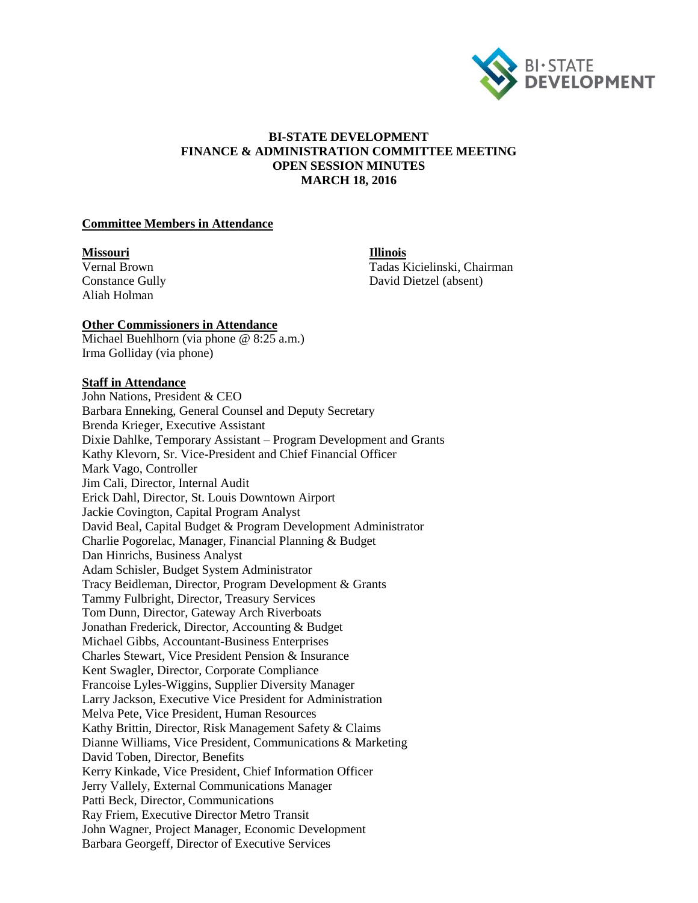

## **BI-STATE DEVELOPMENT FINANCE & ADMINISTRATION COMMITTEE MEETING OPEN SESSION MINUTES MARCH 18, 2016**

#### **Committee Members in Attendance**

#### **Missouri Illinois**

Aliah Holman

Vernal Brown Tadas Kicielinski, Chairman Constance Gully David Dietzel (absent)

#### **Other Commissioners in Attendance**

Michael Buehlhorn (via phone @ 8:25 a.m.) Irma Golliday (via phone)

## **Staff in Attendance**

John Nations, President & CEO Barbara Enneking, General Counsel and Deputy Secretary Brenda Krieger, Executive Assistant Dixie Dahlke, Temporary Assistant – Program Development and Grants Kathy Klevorn, Sr. Vice-President and Chief Financial Officer Mark Vago, Controller Jim Cali, Director, Internal Audit Erick Dahl, Director, St. Louis Downtown Airport Jackie Covington, Capital Program Analyst David Beal, Capital Budget & Program Development Administrator Charlie Pogorelac, Manager, Financial Planning & Budget Dan Hinrichs, Business Analyst Adam Schisler, Budget System Administrator Tracy Beidleman, Director, Program Development & Grants Tammy Fulbright, Director, Treasury Services Tom Dunn, Director, Gateway Arch Riverboats Jonathan Frederick, Director, Accounting & Budget Michael Gibbs, Accountant-Business Enterprises Charles Stewart, Vice President Pension & Insurance Kent Swagler, Director, Corporate Compliance Francoise Lyles-Wiggins, Supplier Diversity Manager Larry Jackson, Executive Vice President for Administration Melva Pete, Vice President, Human Resources Kathy Brittin, Director, Risk Management Safety & Claims Dianne Williams, Vice President, Communications & Marketing David Toben, Director, Benefits Kerry Kinkade, Vice President, Chief Information Officer Jerry Vallely, External Communications Manager Patti Beck, Director, Communications Ray Friem, Executive Director Metro Transit John Wagner, Project Manager, Economic Development Barbara Georgeff, Director of Executive Services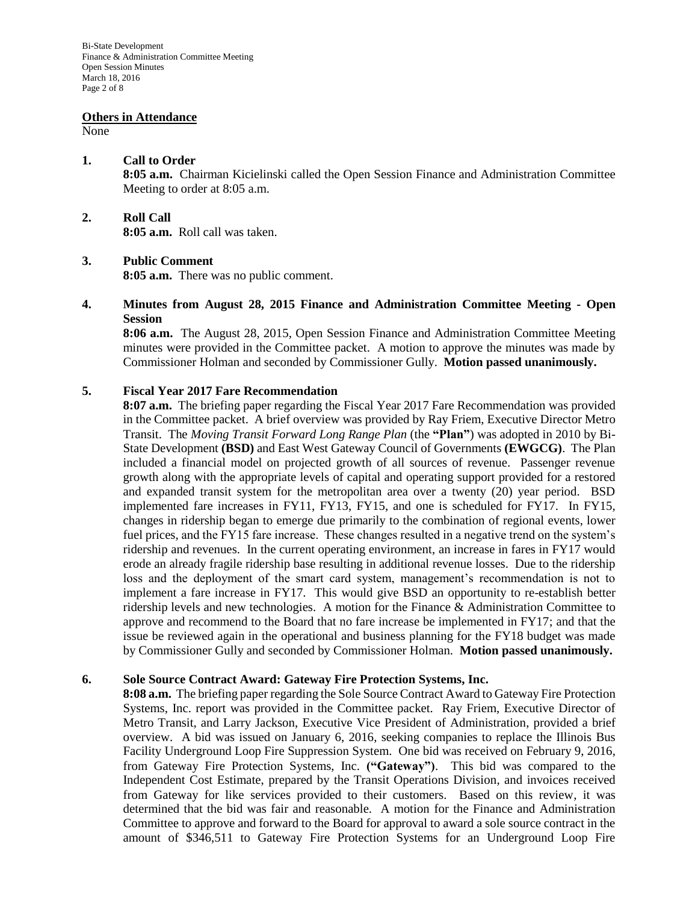#### **Others in Attendance**

None

#### **1. Call to Order**

**8:05 a.m.** Chairman Kicielinski called the Open Session Finance and Administration Committee Meeting to order at 8:05 a.m.

### **2. Roll Call**

**8:05 a.m.** Roll call was taken.

### **3. Public Comment**

**8:05 a.m.** There was no public comment.

## **4. Minutes from August 28, 2015 Finance and Administration Committee Meeting - Open Session**

**8:06 a.m.** The August 28, 2015, Open Session Finance and Administration Committee Meeting minutes were provided in the Committee packet. A motion to approve the minutes was made by Commissioner Holman and seconded by Commissioner Gully. **Motion passed unanimously.**

## **5. Fiscal Year 2017 Fare Recommendation**

**8:07 a.m.** The briefing paper regarding the Fiscal Year 2017 Fare Recommendation was provided in the Committee packet. A brief overview was provided by Ray Friem, Executive Director Metro Transit. The *Moving Transit Forward Long Range Plan* (the **"Plan"**) was adopted in 2010 by Bi-State Development **(BSD)** and East West Gateway Council of Governments **(EWGCG)**. The Plan included a financial model on projected growth of all sources of revenue. Passenger revenue growth along with the appropriate levels of capital and operating support provided for a restored and expanded transit system for the metropolitan area over a twenty (20) year period. BSD implemented fare increases in FY11, FY13, FY15, and one is scheduled for FY17. In FY15, changes in ridership began to emerge due primarily to the combination of regional events, lower fuel prices, and the FY15 fare increase. These changes resulted in a negative trend on the system's ridership and revenues. In the current operating environment, an increase in fares in FY17 would erode an already fragile ridership base resulting in additional revenue losses. Due to the ridership loss and the deployment of the smart card system, management's recommendation is not to implement a fare increase in FY17. This would give BSD an opportunity to re-establish better ridership levels and new technologies. A motion for the Finance & Administration Committee to approve and recommend to the Board that no fare increase be implemented in FY17; and that the issue be reviewed again in the operational and business planning for the FY18 budget was made by Commissioner Gully and seconded by Commissioner Holman. **Motion passed unanimously.**

#### **6. Sole Source Contract Award: Gateway Fire Protection Systems, Inc.**

**8:08 a.m.** The briefing paper regarding the Sole Source Contract Award to Gateway Fire Protection Systems, Inc. report was provided in the Committee packet. Ray Friem, Executive Director of Metro Transit, and Larry Jackson, Executive Vice President of Administration, provided a brief overview. A bid was issued on January 6, 2016, seeking companies to replace the Illinois Bus Facility Underground Loop Fire Suppression System. One bid was received on February 9, 2016, from Gateway Fire Protection Systems, Inc. **("Gateway")**. This bid was compared to the Independent Cost Estimate, prepared by the Transit Operations Division, and invoices received from Gateway for like services provided to their customers. Based on this review, it was determined that the bid was fair and reasonable. A motion for the Finance and Administration Committee to approve and forward to the Board for approval to award a sole source contract in the amount of \$346,511 to Gateway Fire Protection Systems for an Underground Loop Fire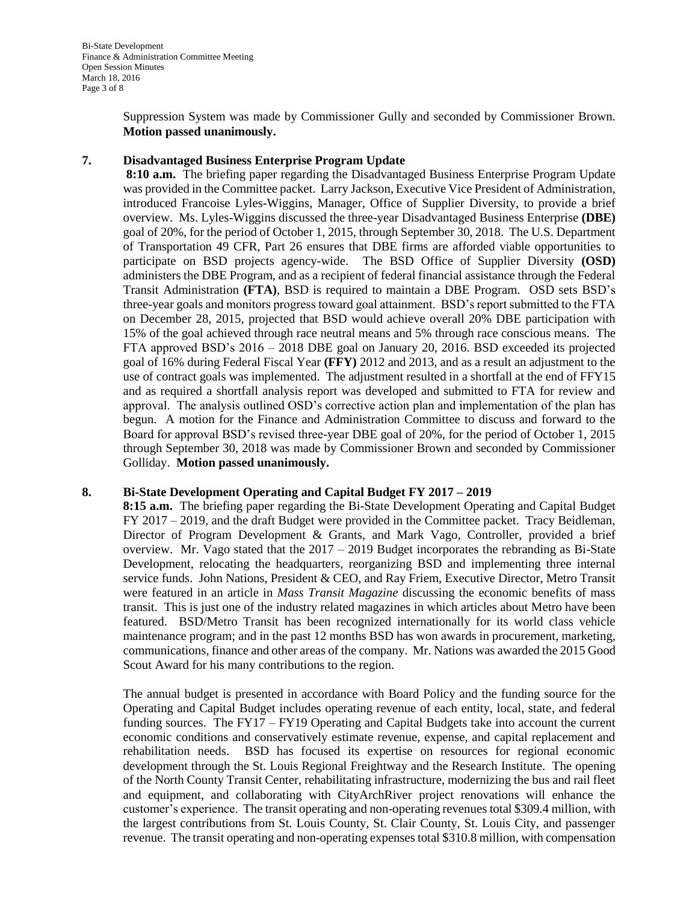Suppression System was made by Commissioner Gully and seconded by Commissioner Brown. **Motion passed unanimously.** 

## **7. Disadvantaged Business Enterprise Program Update**

**8:10 a.m.** The briefing paper regarding the Disadvantaged Business Enterprise Program Update was provided in the Committee packet. Larry Jackson, Executive Vice President of Administration, introduced Francoise Lyles-Wiggins, Manager, Office of Supplier Diversity, to provide a brief overview. Ms. Lyles-Wiggins discussed the three-year Disadvantaged Business Enterprise **(DBE)** goal of 20%, for the period of October 1, 2015, through September 30, 2018. The U.S. Department of Transportation 49 CFR, Part 26 ensures that DBE firms are afforded viable opportunities to participate on BSD projects agency-wide. The BSD Office of Supplier Diversity **(OSD)** administers the DBE Program, and as a recipient of federal financial assistance through the Federal Transit Administration **(FTA)**, BSD is required to maintain a DBE Program. OSD sets BSD's three-year goals and monitors progress toward goal attainment. BSD's report submitted to the FTA on December 28, 2015, projected that BSD would achieve overall 20% DBE participation with 15% of the goal achieved through race neutral means and 5% through race conscious means. The FTA approved BSD's 2016 – 2018 DBE goal on January 20, 2016. BSD exceeded its projected goal of 16% during Federal Fiscal Year **(FFY)** 2012 and 2013, and as a result an adjustment to the use of contract goals was implemented. The adjustment resulted in a shortfall at the end of FFY15 and as required a shortfall analysis report was developed and submitted to FTA for review and approval. The analysis outlined OSD's corrective action plan and implementation of the plan has begun. A motion for the Finance and Administration Committee to discuss and forward to the Board for approval BSD's revised three-year DBE goal of 20%, for the period of October 1, 2015 through September 30, 2018 was made by Commissioner Brown and seconded by Commissioner Golliday. **Motion passed unanimously.**

## **8. Bi-State Development Operating and Capital Budget FY 2017 – 2019**

**8:15 a.m.** The briefing paper regarding the Bi-State Development Operating and Capital Budget FY 2017 – 2019, and the draft Budget were provided in the Committee packet. Tracy Beidleman, Director of Program Development & Grants, and Mark Vago, Controller, provided a brief overview. Mr. Vago stated that the  $2017 - 2019$  Budget incorporates the rebranding as Bi-State Development, relocating the headquarters, reorganizing BSD and implementing three internal service funds. John Nations, President & CEO, and Ray Friem, Executive Director, Metro Transit were featured in an article in *Mass Transit Magazine* discussing the economic benefits of mass transit. This is just one of the industry related magazines in which articles about Metro have been featured. BSD/Metro Transit has been recognized internationally for its world class vehicle maintenance program; and in the past 12 months BSD has won awards in procurement, marketing, communications, finance and other areas of the company. Mr. Nations was awarded the 2015 Good Scout Award for his many contributions to the region.

The annual budget is presented in accordance with Board Policy and the funding source for the Operating and Capital Budget includes operating revenue of each entity, local, state, and federal funding sources. The FY17 – FY19 Operating and Capital Budgets take into account the current economic conditions and conservatively estimate revenue, expense, and capital replacement and rehabilitation needs. BSD has focused its expertise on resources for regional economic development through the St. Louis Regional Freightway and the Research Institute. The opening of the North County Transit Center, rehabilitating infrastructure, modernizing the bus and rail fleet and equipment, and collaborating with CityArchRiver project renovations will enhance the customer's experience. The transit operating and non-operating revenues total \$309.4 million, with the largest contributions from St. Louis County, St. Clair County, St. Louis City, and passenger revenue. The transit operating and non-operating expenses total \$310.8 million, with compensation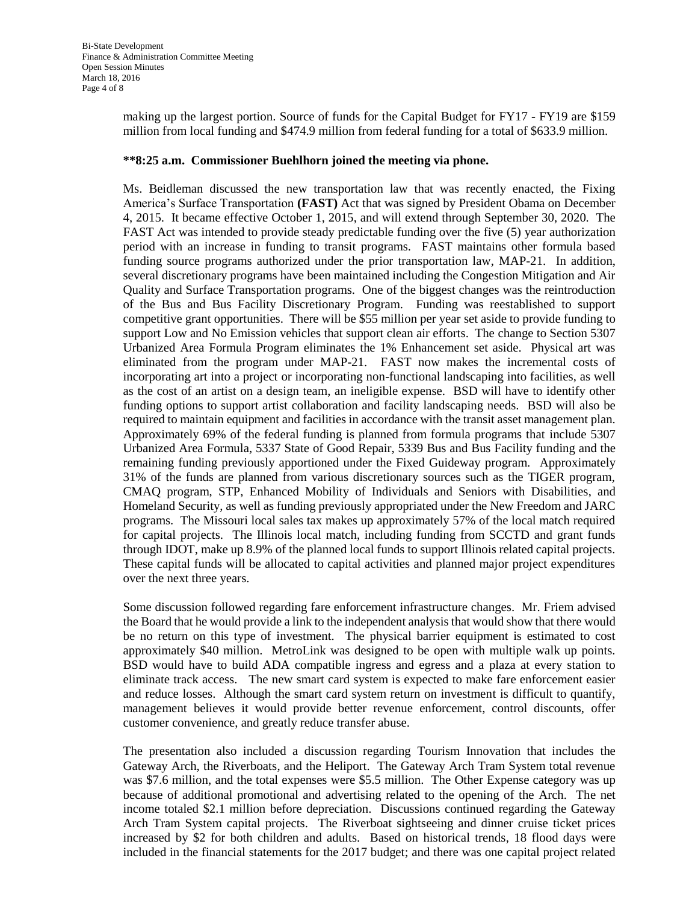making up the largest portion. Source of funds for the Capital Budget for FY17 - FY19 are \$159 million from local funding and \$474.9 million from federal funding for a total of \$633.9 million.

### **\*\*8:25 a.m. Commissioner Buehlhorn joined the meeting via phone.**

Ms. Beidleman discussed the new transportation law that was recently enacted, the Fixing America's Surface Transportation **(FAST)** Act that was signed by President Obama on December 4, 2015. It became effective October 1, 2015, and will extend through September 30, 2020. The FAST Act was intended to provide steady predictable funding over the five (5) year authorization period with an increase in funding to transit programs. FAST maintains other formula based funding source programs authorized under the prior transportation law, MAP-21. In addition, several discretionary programs have been maintained including the Congestion Mitigation and Air Quality and Surface Transportation programs. One of the biggest changes was the reintroduction of the Bus and Bus Facility Discretionary Program. Funding was reestablished to support competitive grant opportunities. There will be \$55 million per year set aside to provide funding to support Low and No Emission vehicles that support clean air efforts. The change to Section 5307 Urbanized Area Formula Program eliminates the 1% Enhancement set aside. Physical art was eliminated from the program under MAP-21. FAST now makes the incremental costs of incorporating art into a project or incorporating non-functional landscaping into facilities, as well as the cost of an artist on a design team, an ineligible expense. BSD will have to identify other funding options to support artist collaboration and facility landscaping needs. BSD will also be required to maintain equipment and facilities in accordance with the transit asset management plan. Approximately 69% of the federal funding is planned from formula programs that include 5307 Urbanized Area Formula, 5337 State of Good Repair, 5339 Bus and Bus Facility funding and the remaining funding previously apportioned under the Fixed Guideway program. Approximately 31% of the funds are planned from various discretionary sources such as the TIGER program, CMAQ program, STP, Enhanced Mobility of Individuals and Seniors with Disabilities, and Homeland Security, as well as funding previously appropriated under the New Freedom and JARC programs. The Missouri local sales tax makes up approximately 57% of the local match required for capital projects. The Illinois local match, including funding from SCCTD and grant funds through IDOT, make up 8.9% of the planned local funds to support Illinois related capital projects. These capital funds will be allocated to capital activities and planned major project expenditures over the next three years.

Some discussion followed regarding fare enforcement infrastructure changes. Mr. Friem advised the Board that he would provide a link to the independent analysis that would show that there would be no return on this type of investment. The physical barrier equipment is estimated to cost approximately \$40 million. MetroLink was designed to be open with multiple walk up points. BSD would have to build ADA compatible ingress and egress and a plaza at every station to eliminate track access. The new smart card system is expected to make fare enforcement easier and reduce losses. Although the smart card system return on investment is difficult to quantify, management believes it would provide better revenue enforcement, control discounts, offer customer convenience, and greatly reduce transfer abuse.

The presentation also included a discussion regarding Tourism Innovation that includes the Gateway Arch, the Riverboats, and the Heliport. The Gateway Arch Tram System total revenue was \$7.6 million, and the total expenses were \$5.5 million. The Other Expense category was up because of additional promotional and advertising related to the opening of the Arch. The net income totaled \$2.1 million before depreciation. Discussions continued regarding the Gateway Arch Tram System capital projects. The Riverboat sightseeing and dinner cruise ticket prices increased by \$2 for both children and adults. Based on historical trends, 18 flood days were included in the financial statements for the 2017 budget; and there was one capital project related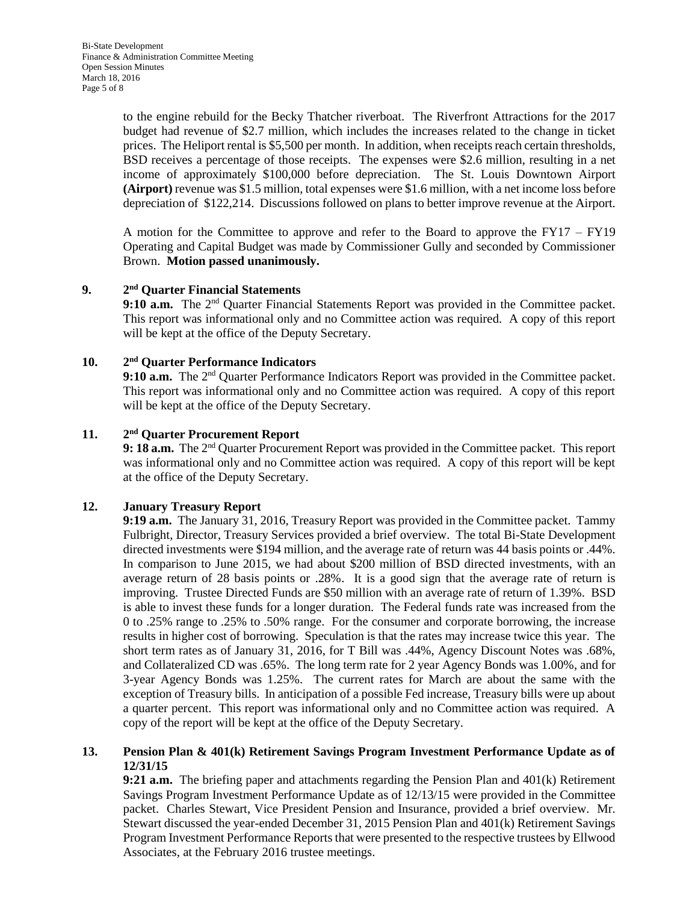to the engine rebuild for the Becky Thatcher riverboat. The Riverfront Attractions for the 2017 budget had revenue of \$2.7 million, which includes the increases related to the change in ticket prices. The Heliport rental is \$5,500 per month. In addition, when receipts reach certain thresholds, BSD receives a percentage of those receipts. The expenses were \$2.6 million, resulting in a net income of approximately \$100,000 before depreciation. The St. Louis Downtown Airport **(Airport)** revenue was \$1.5 million, total expenses were \$1.6 million, with a net income loss before depreciation of \$122,214. Discussions followed on plans to better improve revenue at the Airport.

A motion for the Committee to approve and refer to the Board to approve the FY17 – FY19 Operating and Capital Budget was made by Commissioner Gully and seconded by Commissioner Brown. **Motion passed unanimously.**

#### **9. 2 nd Quarter Financial Statements**

9:10 a.m. The 2<sup>nd</sup> Quarter Financial Statements Report was provided in the Committee packet. This report was informational only and no Committee action was required. A copy of this report will be kept at the office of the Deputy Secretary.

#### $10.$ **nd Quarter Performance Indicators**

9:10 a.m. The 2<sup>nd</sup> Quarter Performance Indicators Report was provided in the Committee packet. This report was informational only and no Committee action was required. A copy of this report will be kept at the office of the Deputy Secretary.

#### **11. 2 nd Quarter Procurement Report**

**9: 18 a.m.** The 2nd Quarter Procurement Report was provided in the Committee packet. This report was informational only and no Committee action was required. A copy of this report will be kept at the office of the Deputy Secretary.

# **12. January Treasury Report**

**9:19 a.m.** The January 31, 2016, Treasury Report was provided in the Committee packet. Tammy Fulbright, Director, Treasury Services provided a brief overview. The total Bi-State Development directed investments were \$194 million, and the average rate of return was 44 basis points or .44%. In comparison to June 2015, we had about \$200 million of BSD directed investments, with an average return of 28 basis points or .28%. It is a good sign that the average rate of return is improving. Trustee Directed Funds are \$50 million with an average rate of return of 1.39%. BSD is able to invest these funds for a longer duration. The Federal funds rate was increased from the 0 to .25% range to .25% to .50% range. For the consumer and corporate borrowing, the increase results in higher cost of borrowing. Speculation is that the rates may increase twice this year. The short term rates as of January 31, 2016, for T Bill was .44%, Agency Discount Notes was .68%, and Collateralized CD was .65%. The long term rate for 2 year Agency Bonds was 1.00%, and for 3-year Agency Bonds was 1.25%. The current rates for March are about the same with the exception of Treasury bills. In anticipation of a possible Fed increase, Treasury bills were up about a quarter percent. This report was informational only and no Committee action was required. A copy of the report will be kept at the office of the Deputy Secretary.

## **13. Pension Plan & 401(k) Retirement Savings Program Investment Performance Update as of 12/31/15**

**9:21 a.m.** The briefing paper and attachments regarding the Pension Plan and 401(k) Retirement Savings Program Investment Performance Update as of 12/13/15 were provided in the Committee packet. Charles Stewart, Vice President Pension and Insurance, provided a brief overview. Mr. Stewart discussed the year-ended December 31, 2015 Pension Plan and 401(k) Retirement Savings Program Investment Performance Reports that were presented to the respective trustees by Ellwood Associates, at the February 2016 trustee meetings.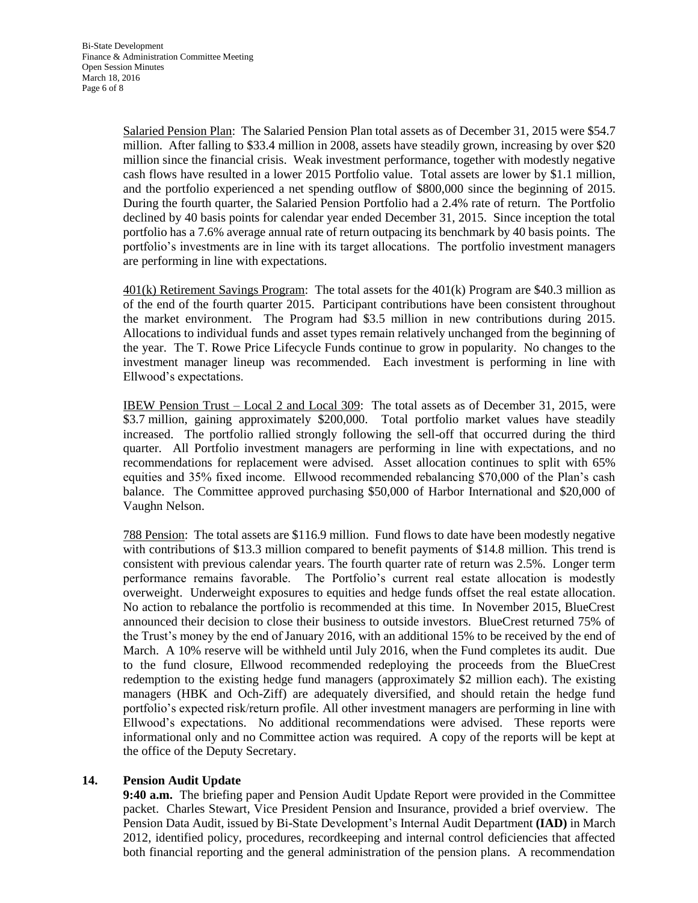Salaried Pension Plan: The Salaried Pension Plan total assets as of December 31, 2015 were \$54.7 million. After falling to \$33.4 million in 2008, assets have steadily grown, increasing by over \$20 million since the financial crisis. Weak investment performance, together with modestly negative cash flows have resulted in a lower 2015 Portfolio value. Total assets are lower by \$1.1 million, and the portfolio experienced a net spending outflow of \$800,000 since the beginning of 2015. During the fourth quarter, the Salaried Pension Portfolio had a 2.4% rate of return. The Portfolio declined by 40 basis points for calendar year ended December 31, 2015. Since inception the total portfolio has a 7.6% average annual rate of return outpacing its benchmark by 40 basis points. The portfolio's investments are in line with its target allocations. The portfolio investment managers are performing in line with expectations.

401(k) Retirement Savings Program: The total assets for the 401(k) Program are \$40.3 million as of the end of the fourth quarter 2015. Participant contributions have been consistent throughout the market environment. The Program had \$3.5 million in new contributions during 2015. Allocations to individual funds and asset types remain relatively unchanged from the beginning of the year. The T. Rowe Price Lifecycle Funds continue to grow in popularity. No changes to the investment manager lineup was recommended. Each investment is performing in line with Ellwood's expectations.

IBEW Pension Trust – Local 2 and Local 309: The total assets as of December 31, 2015, were \$3.7 million, gaining approximately \$200,000. Total portfolio market values have steadily increased. The portfolio rallied strongly following the sell-off that occurred during the third quarter. All Portfolio investment managers are performing in line with expectations, and no recommendations for replacement were advised. Asset allocation continues to split with 65% equities and 35% fixed income. Ellwood recommended rebalancing \$70,000 of the Plan's cash balance. The Committee approved purchasing \$50,000 of Harbor International and \$20,000 of Vaughn Nelson.

788 Pension: The total assets are \$116.9 million. Fund flows to date have been modestly negative with contributions of \$13.3 million compared to benefit payments of \$14.8 million. This trend is consistent with previous calendar years. The fourth quarter rate of return was 2.5%. Longer term performance remains favorable. The Portfolio's current real estate allocation is modestly overweight. Underweight exposures to equities and hedge funds offset the real estate allocation. No action to rebalance the portfolio is recommended at this time. In November 2015, BlueCrest announced their decision to close their business to outside investors. BlueCrest returned 75% of the Trust's money by the end of January 2016, with an additional 15% to be received by the end of March. A 10% reserve will be withheld until July 2016, when the Fund completes its audit. Due to the fund closure, Ellwood recommended redeploying the proceeds from the BlueCrest redemption to the existing hedge fund managers (approximately \$2 million each). The existing managers (HBK and Och-Ziff) are adequately diversified, and should retain the hedge fund portfolio's expected risk/return profile. All other investment managers are performing in line with Ellwood's expectations. No additional recommendations were advised. These reports were informational only and no Committee action was required. A copy of the reports will be kept at the office of the Deputy Secretary.

## **14. Pension Audit Update**

**9:40 a.m.** The briefing paper and Pension Audit Update Report were provided in the Committee packet. Charles Stewart, Vice President Pension and Insurance, provided a brief overview. The Pension Data Audit, issued by Bi-State Development's Internal Audit Department **(IAD)** in March 2012, identified policy, procedures, recordkeeping and internal control deficiencies that affected both financial reporting and the general administration of the pension plans. A recommendation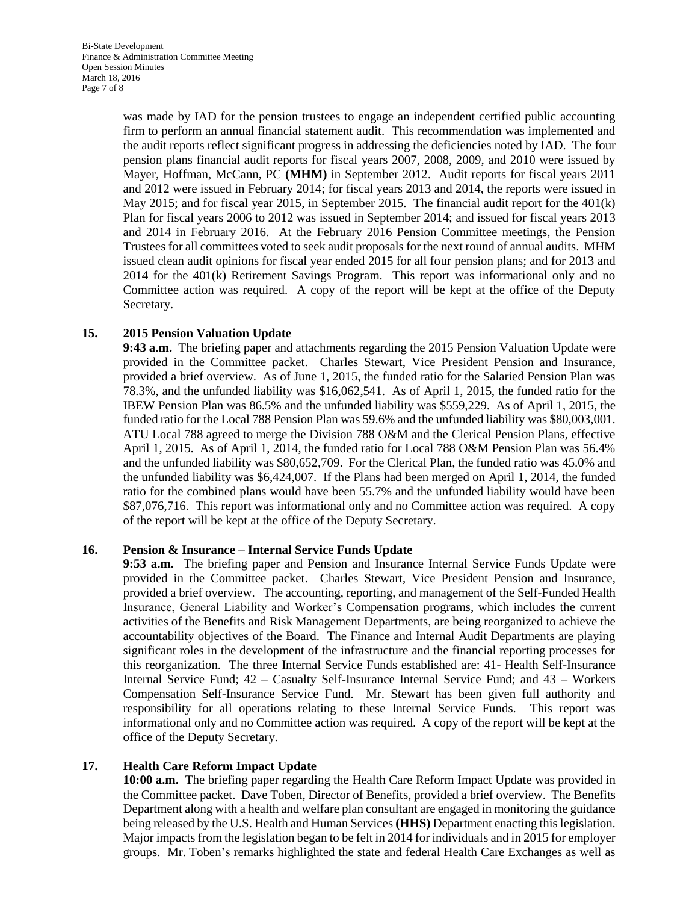was made by IAD for the pension trustees to engage an independent certified public accounting firm to perform an annual financial statement audit. This recommendation was implemented and the audit reports reflect significant progress in addressing the deficiencies noted by IAD. The four pension plans financial audit reports for fiscal years 2007, 2008, 2009, and 2010 were issued by Mayer, Hoffman, McCann, PC **(MHM)** in September 2012. Audit reports for fiscal years 2011 and 2012 were issued in February 2014; for fiscal years 2013 and 2014, the reports were issued in May 2015; and for fiscal year 2015, in September 2015. The financial audit report for the 401(k) Plan for fiscal years 2006 to 2012 was issued in September 2014; and issued for fiscal years 2013 and 2014 in February 2016. At the February 2016 Pension Committee meetings, the Pension Trustees for all committees voted to seek audit proposals for the next round of annual audits. MHM issued clean audit opinions for fiscal year ended 2015 for all four pension plans; and for 2013 and 2014 for the 401(k) Retirement Savings Program. This report was informational only and no Committee action was required. A copy of the report will be kept at the office of the Deputy Secretary.

## **15. 2015 Pension Valuation Update**

**9:43 a.m.** The briefing paper and attachments regarding the 2015 Pension Valuation Update were provided in the Committee packet. Charles Stewart, Vice President Pension and Insurance, provided a brief overview. As of June 1, 2015, the funded ratio for the Salaried Pension Plan was 78.3%, and the unfunded liability was \$16,062,541. As of April 1, 2015, the funded ratio for the IBEW Pension Plan was 86.5% and the unfunded liability was \$559,229. As of April 1, 2015, the funded ratio for the Local 788 Pension Plan was 59.6% and the unfunded liability was \$80,003,001. ATU Local 788 agreed to merge the Division 788 O&M and the Clerical Pension Plans, effective April 1, 2015. As of April 1, 2014, the funded ratio for Local 788 O&M Pension Plan was 56.4% and the unfunded liability was \$80,652,709. For the Clerical Plan, the funded ratio was 45.0% and the unfunded liability was \$6,424,007. If the Plans had been merged on April 1, 2014, the funded ratio for the combined plans would have been 55.7% and the unfunded liability would have been \$87,076,716. This report was informational only and no Committee action was required. A copy of the report will be kept at the office of the Deputy Secretary.

## **16. Pension & Insurance – Internal Service Funds Update**

**9:53 a.m.** The briefing paper and Pension and Insurance Internal Service Funds Update were provided in the Committee packet. Charles Stewart, Vice President Pension and Insurance, provided a brief overview. The accounting, reporting, and management of the Self-Funded Health Insurance, General Liability and Worker's Compensation programs, which includes the current activities of the Benefits and Risk Management Departments, are being reorganized to achieve the accountability objectives of the Board. The Finance and Internal Audit Departments are playing significant roles in the development of the infrastructure and the financial reporting processes for this reorganization. The three Internal Service Funds established are: 41- Health Self-Insurance Internal Service Fund; 42 – Casualty Self-Insurance Internal Service Fund; and 43 – Workers Compensation Self-Insurance Service Fund. Mr. Stewart has been given full authority and responsibility for all operations relating to these Internal Service Funds. This report was informational only and no Committee action was required. A copy of the report will be kept at the office of the Deputy Secretary.

## **17. Health Care Reform Impact Update**

**10:00 a.m.** The briefing paper regarding the Health Care Reform Impact Update was provided in the Committee packet. Dave Toben, Director of Benefits, provided a brief overview. The Benefits Department along with a health and welfare plan consultant are engaged in monitoring the guidance being released by the U.S. Health and Human Services **(HHS)** Department enacting this legislation. Major impacts from the legislation began to be felt in 2014 for individuals and in 2015 for employer groups. Mr. Toben's remarks highlighted the state and federal Health Care Exchanges as well as